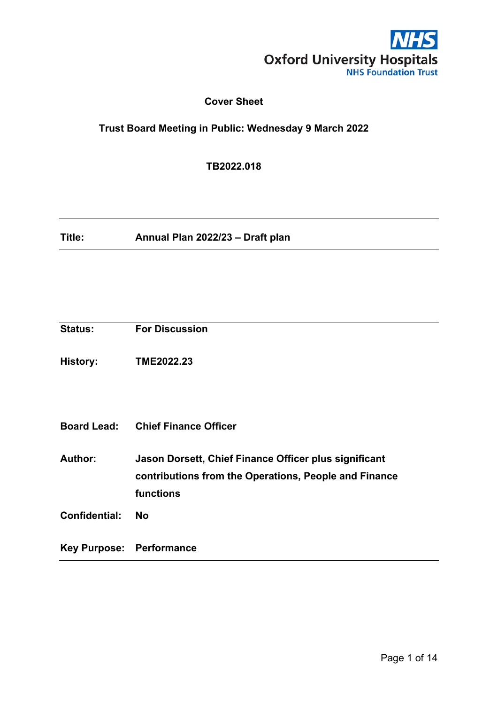

# **Cover Sheet**

# <span id="page-0-0"></span>**Trust Board Meeting in Public: Wednesday 9 March 2022**

**TB2022.018**

**Title: Annual Plan 2022/23 – Draft plan**

<span id="page-0-1"></span>

| Key Purpose: Performance |                                                                                                                             |
|--------------------------|-----------------------------------------------------------------------------------------------------------------------------|
| <b>Confidential:</b>     | <b>No</b>                                                                                                                   |
| Author:                  | Jason Dorsett, Chief Finance Officer plus significant<br>contributions from the Operations, People and Finance<br>functions |
|                          | <b>Board Lead: Chief Finance Officer</b>                                                                                    |
| <b>History:</b>          | TME2022.23                                                                                                                  |
| <b>Status:</b>           | <b>For Discussion</b>                                                                                                       |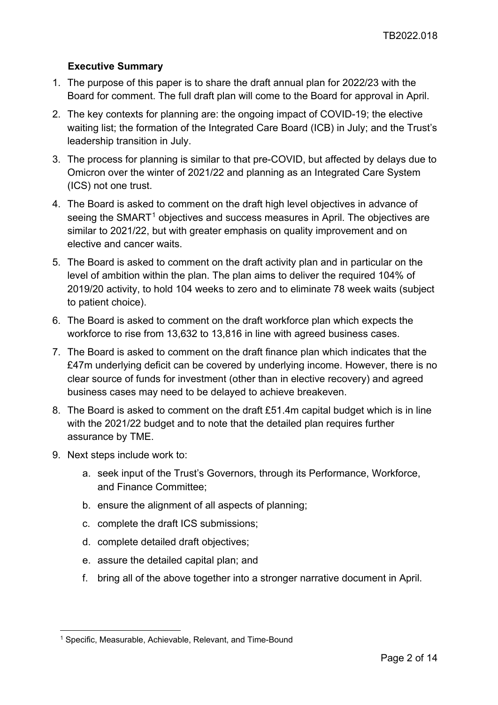# **Executive Summary**

- 1. The purpose of this paper is to share the draft annual plan for 2022/23 with the Board for comment. The full draft plan will come to the Board for approval in April.
- 2. The key contexts for planning are: the ongoing impact of COVID-19; the elective waiting list; the formation of the Integrated Care Board (ICB) in July; and the Trust's leadership transition in July.
- 3. The process for planning is similar to that pre-COVID, but affected by delays due to Omicron over the winter of 2021/22 and planning as an Integrated Care System (ICS) not one trust.
- 4. The Board is asked to comment on the draft high level objectives in advance of seeing the SMART<sup>[1](#page-1-0)</sup> objectives and success measures in April. The objectives are similar to 2021/22, but with greater emphasis on quality improvement and on elective and cancer waits.
- 5. The Board is asked to comment on the draft activity plan and in particular on the level of ambition within the plan. The plan aims to deliver the required 104% of 2019/20 activity, to hold 104 weeks to zero and to eliminate 78 week waits (subject to patient choice).
- 6. The Board is asked to comment on the draft workforce plan which expects the workforce to rise from 13,632 to 13,816 in line with agreed business cases.
- 7. The Board is asked to comment on the draft finance plan which indicates that the £47m underlying deficit can be covered by underlying income. However, there is no clear source of funds for investment (other than in elective recovery) and agreed business cases may need to be delayed to achieve breakeven.
- 8. The Board is asked to comment on the draft £51.4m capital budget which is in line with the 2021/22 budget and to note that the detailed plan requires further assurance by TME.
- 9. Next steps include work to:
	- a. seek input of the Trust's Governors, through its Performance, Workforce, and Finance Committee;
	- b. ensure the alignment of all aspects of planning;
	- c. complete the draft ICS submissions;
	- d. complete detailed draft objectives;
	- e. assure the detailed capital plan; and
	- f. bring all of the above together into a stronger narrative document in April.

<span id="page-1-0"></span><sup>1</sup> Specific, Measurable, Achievable, Relevant, and Time-Bound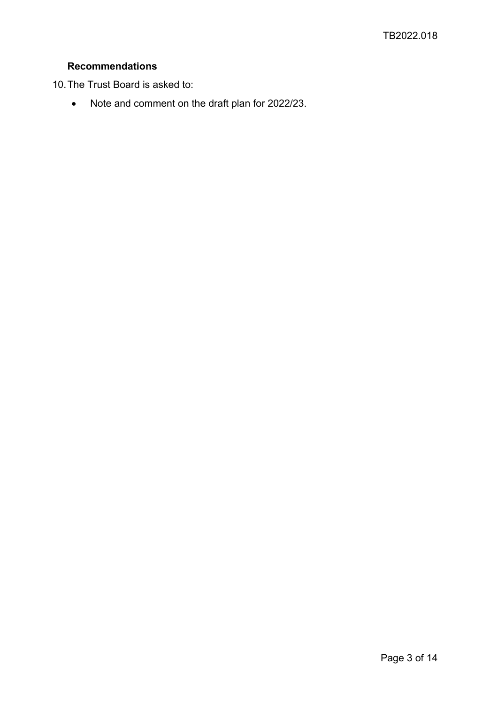# **Recommendations**

10.The Trust Board is asked to:

• Note and comment on the draft plan for 2022/23.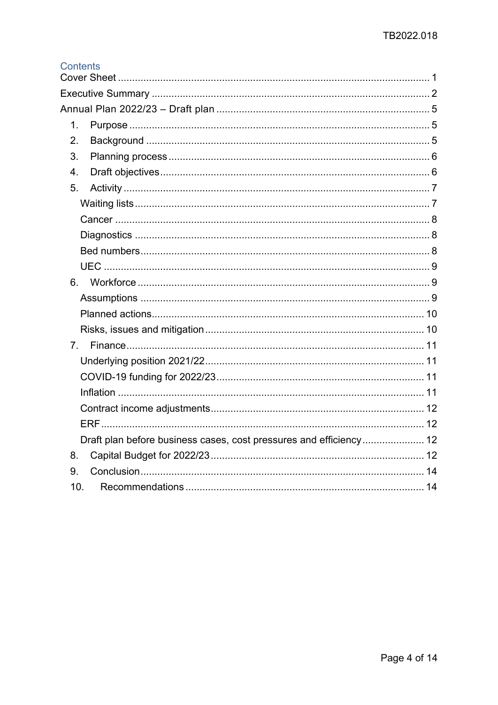# Contents

| 1.              |                                                                    |  |
|-----------------|--------------------------------------------------------------------|--|
| 2.              |                                                                    |  |
| 3.              |                                                                    |  |
| 4.              |                                                                    |  |
| 5.              |                                                                    |  |
|                 |                                                                    |  |
|                 |                                                                    |  |
|                 |                                                                    |  |
|                 |                                                                    |  |
|                 |                                                                    |  |
|                 |                                                                    |  |
|                 |                                                                    |  |
|                 |                                                                    |  |
|                 |                                                                    |  |
| 7 <sup>1</sup>  |                                                                    |  |
|                 |                                                                    |  |
|                 |                                                                    |  |
|                 |                                                                    |  |
|                 |                                                                    |  |
|                 |                                                                    |  |
|                 | Draft plan before business cases, cost pressures and efficiency 12 |  |
| 8.              |                                                                    |  |
| 9.              |                                                                    |  |
| 10 <sub>1</sub> |                                                                    |  |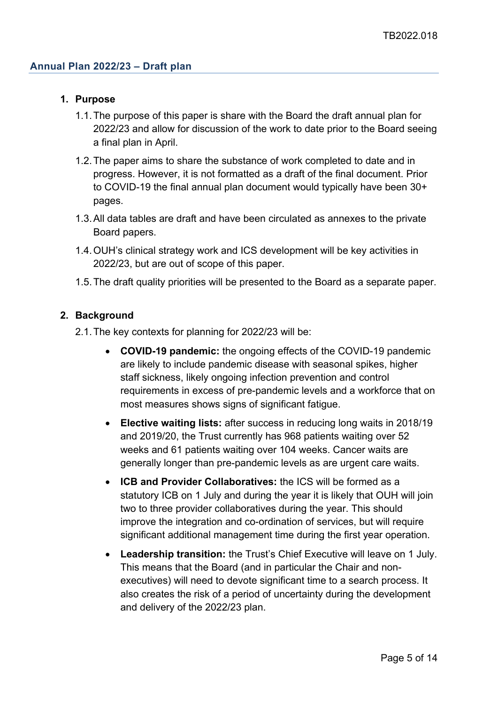#### <span id="page-4-1"></span><span id="page-4-0"></span>**1. Purpose**

- 1.1.The purpose of this paper is share with the Board the draft annual plan for 2022/23 and allow for discussion of the work to date prior to the Board seeing a final plan in April.
- 1.2.The paper aims to share the substance of work completed to date and in progress. However, it is not formatted as a draft of the final document. Prior to COVID-19 the final annual plan document would typically have been 30+ pages.
- 1.3.All data tables are draft and have been circulated as annexes to the private Board papers.
- 1.4.OUH's clinical strategy work and ICS development will be key activities in 2022/23, but are out of scope of this paper.
- 1.5.The draft quality priorities will be presented to the Board as a separate paper.

#### <span id="page-4-2"></span>**2. Background**

- 2.1.The key contexts for planning for 2022/23 will be:
	- **COVID-19 pandemic:** the ongoing effects of the COVID-19 pandemic are likely to include pandemic disease with seasonal spikes, higher staff sickness, likely ongoing infection prevention and control requirements in excess of pre-pandemic levels and a workforce that on most measures shows signs of significant fatigue.
	- **Elective waiting lists:** after success in reducing long waits in 2018/19 and 2019/20, the Trust currently has 968 patients waiting over 52 weeks and 61 patients waiting over 104 weeks. Cancer waits are generally longer than pre-pandemic levels as are urgent care waits.
	- **ICB and Provider Collaboratives:** the ICS will be formed as a statutory ICB on 1 July and during the year it is likely that OUH will join two to three provider collaboratives during the year. This should improve the integration and co-ordination of services, but will require significant additional management time during the first year operation.
	- **Leadership transition:** the Trust's Chief Executive will leave on 1 July. This means that the Board (and in particular the Chair and nonexecutives) will need to devote significant time to a search process. It also creates the risk of a period of uncertainty during the development and delivery of the 2022/23 plan.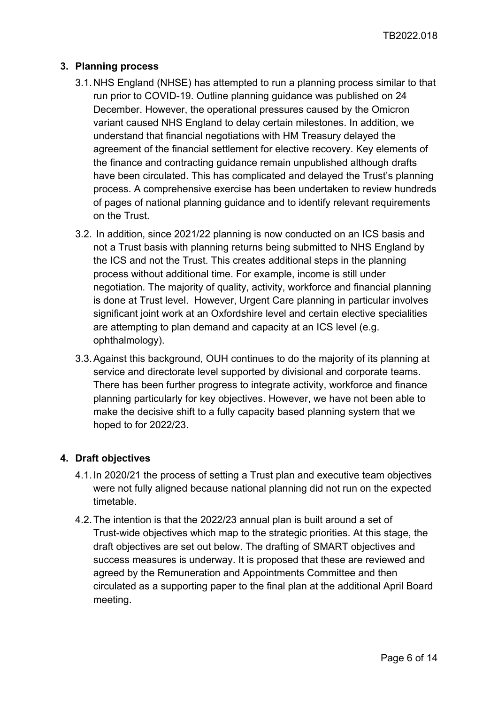# <span id="page-5-0"></span>**3. Planning process**

- 3.1.NHS England (NHSE) has attempted to run a planning process similar to that run prior to COVID-19. Outline planning guidance was published on 24 December. However, the operational pressures caused by the Omicron variant caused NHS England to delay certain milestones. In addition, we understand that financial negotiations with HM Treasury delayed the agreement of the financial settlement for elective recovery. Key elements of the finance and contracting guidance remain unpublished although drafts have been circulated. This has complicated and delayed the Trust's planning process. A comprehensive exercise has been undertaken to review hundreds of pages of national planning guidance and to identify relevant requirements on the Trust.
- 3.2. In addition, since 2021/22 planning is now conducted on an ICS basis and not a Trust basis with planning returns being submitted to NHS England by the ICS and not the Trust. This creates additional steps in the planning process without additional time. For example, income is still under negotiation. The majority of quality, activity, workforce and financial planning is done at Trust level. However, Urgent Care planning in particular involves significant joint work at an Oxfordshire level and certain elective specialities are attempting to plan demand and capacity at an ICS level (e.g. ophthalmology).
- 3.3.Against this background, OUH continues to do the majority of its planning at service and directorate level supported by divisional and corporate teams. There has been further progress to integrate activity, workforce and finance planning particularly for key objectives. However, we have not been able to make the decisive shift to a fully capacity based planning system that we hoped to for 2022/23.

# <span id="page-5-1"></span>**4. Draft objectives**

- 4.1.In 2020/21 the process of setting a Trust plan and executive team objectives were not fully aligned because national planning did not run on the expected timetable.
- 4.2.The intention is that the 2022/23 annual plan is built around a set of Trust-wide objectives which map to the strategic priorities. At this stage, the draft objectives are set out below. The drafting of SMART objectives and success measures is underway. It is proposed that these are reviewed and agreed by the Remuneration and Appointments Committee and then circulated as a supporting paper to the final plan at the additional April Board meeting.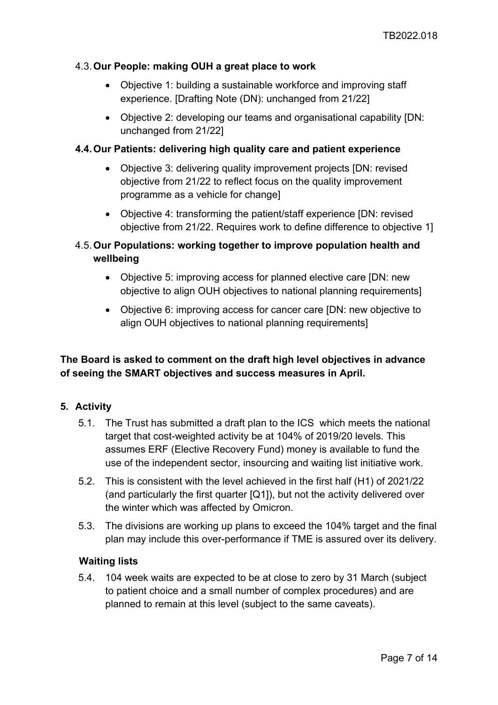#### 4.3.**Our People: making OUH a great place to work**

- Objective 1: building a sustainable workforce and improving staff experience. [Drafting Note (DN): unchanged from 21/22]
- Objective 2: developing our teams and organisational capability [DN: unchanged from 21/22]

#### **4.4.Our Patients: delivering high quality care and patient experience**

- Objective 3: delivering quality improvement projects [DN: revised] objective from 21/22 to reflect focus on the quality improvement programme as a vehicle for change]
- Objective 4: transforming the patient/staff experience [DN: revised objective from 21/22. Requires work to define difference to objective 1]

# 4.5.**Our Populations: working together to improve population health and wellbeing**

- Objective 5: improving access for planned elective care [DN: new objective to align OUH objectives to national planning requirements]
- Objective 6: improving access for cancer care [DN: new objective to align OUH objectives to national planning requirements]

# **The Board is asked to comment on the draft high level objectives in advance of seeing the SMART objectives and success measures in April.**

# <span id="page-6-0"></span>**5. Activity**

- 5.1. The Trust has submitted a draft plan to the ICS which meets the national target that cost-weighted activity be at 104% of 2019/20 levels. This assumes ERF (Elective Recovery Fund) money is available to fund the use of the independent sector, insourcing and waiting list initiative work.
- 5.2. This is consistent with the level achieved in the first half (H1) of 2021/22 (and particularly the first quarter [Q1]), but not the activity delivered over the winter which was affected by Omicron.
- 5.3. The divisions are working up plans to exceed the 104% target and the final plan may include this over-performance if TME is assured over its delivery.

#### <span id="page-6-1"></span>**Waiting lists**

5.4. 104 week waits are expected to be at close to zero by 31 March (subject to patient choice and a small number of complex procedures) and are planned to remain at this level (subject to the same caveats).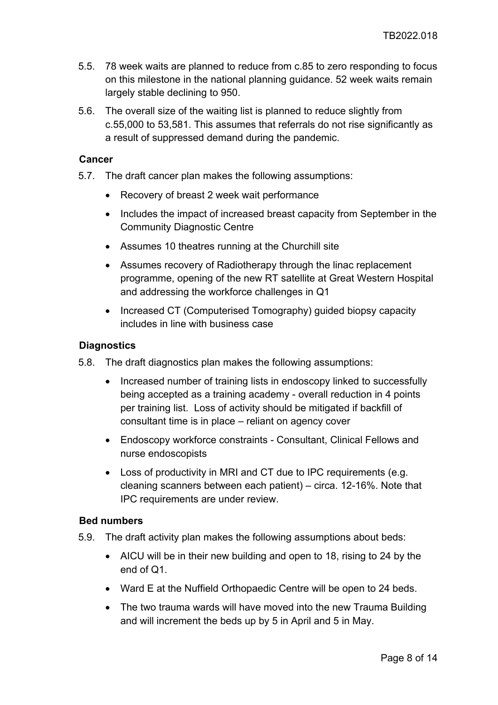- 5.5. 78 week waits are planned to reduce from c.85 to zero responding to focus on this milestone in the national planning guidance. 52 week waits remain largely stable declining to 950.
- 5.6. The overall size of the waiting list is planned to reduce slightly from c.55,000 to 53,581. This assumes that referrals do not rise significantly as a result of suppressed demand during the pandemic.

#### <span id="page-7-0"></span>**Cancer**

- 5.7. The draft cancer plan makes the following assumptions:
	- Recovery of breast 2 week wait performance
	- Includes the impact of increased breast capacity from September in the Community Diagnostic Centre
	- Assumes 10 theatres running at the Churchill site
	- Assumes recovery of Radiotherapy through the linac replacement programme, opening of the new RT satellite at Great Western Hospital and addressing the workforce challenges in Q1
	- Increased CT (Computerised Tomography) guided biopsy capacity includes in line with business case

## <span id="page-7-1"></span>**Diagnostics**

- 5.8. The draft diagnostics plan makes the following assumptions:
	- Increased number of training lists in endoscopy linked to successfully being accepted as a training academy - overall reduction in 4 points per training list. Loss of activity should be mitigated if backfill of consultant time is in place – reliant on agency cover
	- Endoscopy workforce constraints Consultant, Clinical Fellows and nurse endoscopists
	- Loss of productivity in MRI and CT due to IPC requirements (e.g. cleaning scanners between each patient) – circa. 12-16%. Note that IPC requirements are under review.

#### <span id="page-7-2"></span>**Bed numbers**

- 5.9. The draft activity plan makes the following assumptions about beds:
	- AICU will be in their new building and open to 18, rising to 24 by the end of Q1.
	- Ward E at the Nuffield Orthopaedic Centre will be open to 24 beds.
	- The two trauma wards will have moved into the new Trauma Building and will increment the beds up by 5 in April and 5 in May.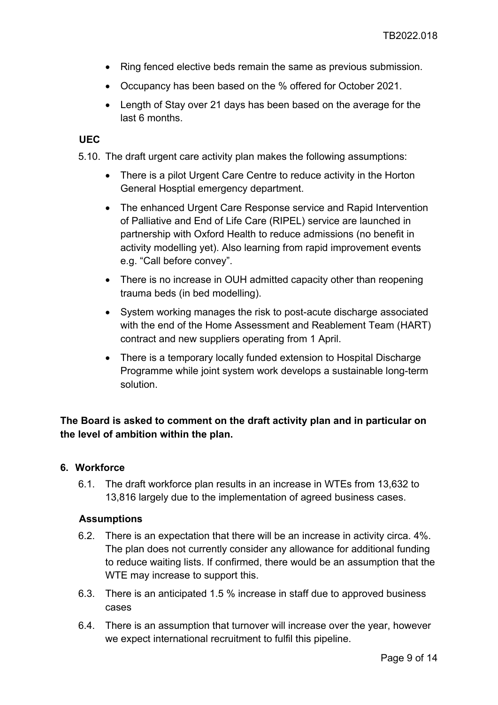- Ring fenced elective beds remain the same as previous submission.
- Occupancy has been based on the % offered for October 2021.
- Length of Stay over 21 days has been based on the average for the last 6 months.

#### <span id="page-8-0"></span>**UEC**

5.10. The draft urgent care activity plan makes the following assumptions:

- There is a pilot Urgent Care Centre to reduce activity in the Horton General Hosptial emergency department.
- The enhanced Urgent Care Response service and Rapid Intervention of Palliative and End of Life Care (RIPEL) service are launched in partnership with Oxford Health to reduce admissions (no benefit in activity modelling yet). Also learning from rapid improvement events e.g. "Call before convey".
- There is no increase in OUH admitted capacity other than reopening trauma beds (in bed modelling).
- System working manages the risk to post-acute discharge associated with the end of the Home Assessment and Reablement Team (HART) contract and new suppliers operating from 1 April.
- There is a temporary locally funded extension to Hospital Discharge Programme while joint system work develops a sustainable long-term solution.

# **The Board is asked to comment on the draft activity plan and in particular on the level of ambition within the plan.**

#### <span id="page-8-1"></span>**6. Workforce**

6.1. The draft workforce plan results in an increase in WTEs from 13,632 to 13,816 largely due to the implementation of agreed business cases.

#### <span id="page-8-2"></span>**Assumptions**

- 6.2. There is an expectation that there will be an increase in activity circa. 4%. The plan does not currently consider any allowance for additional funding to reduce waiting lists. If confirmed, there would be an assumption that the WTE may increase to support this.
- 6.3. There is an anticipated 1.5 % increase in staff due to approved business cases
- 6.4. There is an assumption that turnover will increase over the year, however we expect international recruitment to fulfil this pipeline.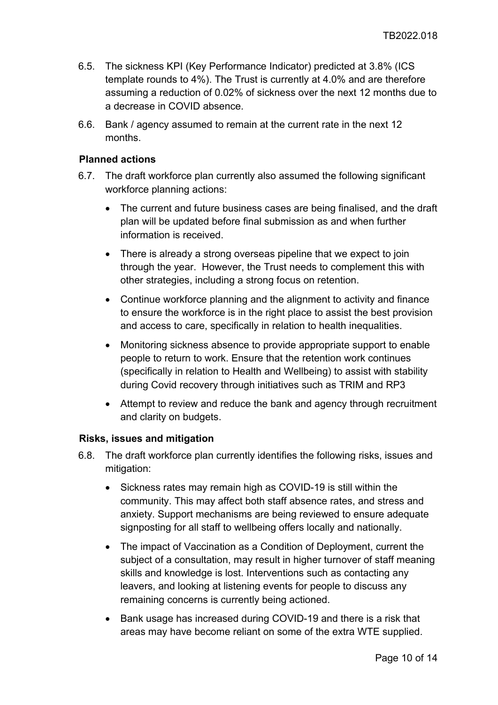- 6.5. The sickness KPI (Key Performance Indicator) predicted at 3.8% (ICS template rounds to 4%). The Trust is currently at 4.0% and are therefore assuming a reduction of 0.02% of sickness over the next 12 months due to a decrease in COVID absence.
- 6.6. Bank / agency assumed to remain at the current rate in the next 12 months.

#### <span id="page-9-0"></span>**Planned actions**

- 6.7. The draft workforce plan currently also assumed the following significant workforce planning actions:
	- The current and future business cases are being finalised, and the draft plan will be updated before final submission as and when further information is received.
	- There is already a strong overseas pipeline that we expect to join through the year. However, the Trust needs to complement this with other strategies, including a strong focus on retention.
	- Continue workforce planning and the alignment to activity and finance to ensure the workforce is in the right place to assist the best provision and access to care, specifically in relation to health inequalities.
	- Monitoring sickness absence to provide appropriate support to enable people to return to work. Ensure that the retention work continues (specifically in relation to Health and Wellbeing) to assist with stability during Covid recovery through initiatives such as TRIM and RP3
	- Attempt to review and reduce the bank and agency through recruitment and clarity on budgets.

# <span id="page-9-1"></span>**Risks, issues and mitigation**

- 6.8. The draft workforce plan currently identifies the following risks, issues and mitigation:
	- Sickness rates may remain high as COVID-19 is still within the community. This may affect both staff absence rates, and stress and anxiety. Support mechanisms are being reviewed to ensure adequate signposting for all staff to wellbeing offers locally and nationally.
	- The impact of Vaccination as a Condition of Deployment, current the subject of a consultation, may result in higher turnover of staff meaning skills and knowledge is lost. Interventions such as contacting any leavers, and looking at listening events for people to discuss any remaining concerns is currently being actioned.
	- Bank usage has increased during COVID-19 and there is a risk that areas may have become reliant on some of the extra WTE supplied.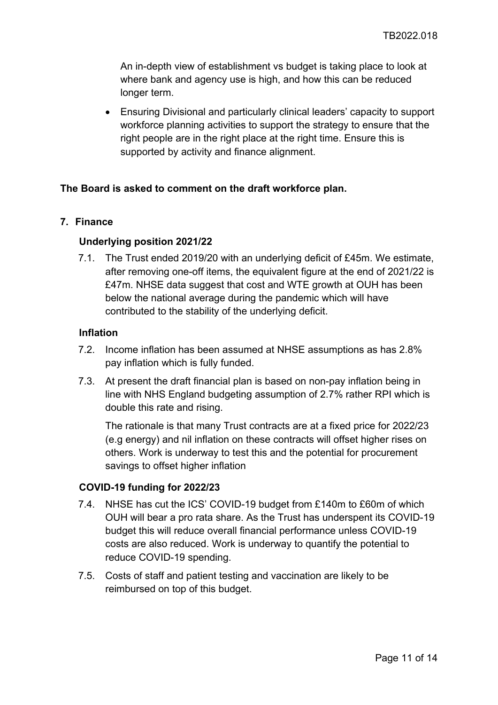An in-depth view of establishment vs budget is taking place to look at where bank and agency use is high, and how this can be reduced longer term.

• Ensuring Divisional and particularly clinical leaders' capacity to support workforce planning activities to support the strategy to ensure that the right people are in the right place at the right time. Ensure this is supported by activity and finance alignment.

# **The Board is asked to comment on the draft workforce plan.**

## <span id="page-10-1"></span><span id="page-10-0"></span>**7. Finance**

## **Underlying position 2021/22**

7.1. The Trust ended 2019/20 with an underlying deficit of £45m. We estimate, after removing one-off items, the equivalent figure at the end of 2021/22 is £47m. NHSE data suggest that cost and WTE growth at OUH has been below the national average during the pandemic which will have contributed to the stability of the underlying deficit.

#### <span id="page-10-3"></span>**Inflation**

- 7.2. Income inflation has been assumed at NHSE assumptions as has 2.8% pay inflation which is fully funded.
- 7.3. At present the draft financial plan is based on non-pay inflation being in line with NHS England budgeting assumption of 2.7% rather RPI which is double this rate and rising.

The rationale is that many Trust contracts are at a fixed price for 2022/23 (e.g energy) and nil inflation on these contracts will offset higher rises on others. Work is underway to test this and the potential for procurement savings to offset higher inflation

#### <span id="page-10-2"></span>**COVID-19 funding for 2022/23**

- 7.4. NHSE has cut the ICS' COVID-19 budget from £140m to £60m of which OUH will bear a pro rata share. As the Trust has underspent its COVID-19 budget this will reduce overall financial performance unless COVID-19 costs are also reduced. Work is underway to quantify the potential to reduce COVID-19 spending.
- 7.5. Costs of staff and patient testing and vaccination are likely to be reimbursed on top of this budget.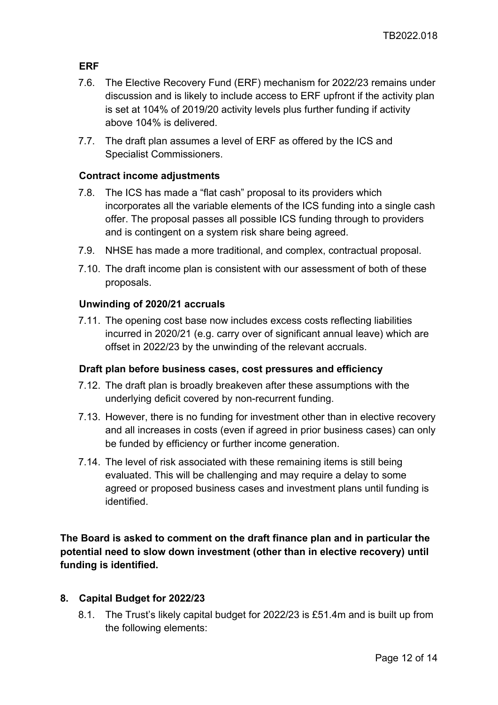# <span id="page-11-1"></span>**ERF**

- 7.6. The Elective Recovery Fund (ERF) mechanism for 2022/23 remains under discussion and is likely to include access to ERF upfront if the activity plan is set at 104% of 2019/20 activity levels plus further funding if activity above 104% is delivered.
- 7.7. The draft plan assumes a level of ERF as offered by the ICS and Specialist Commissioners.

## <span id="page-11-0"></span>**Contract income adjustments**

- 7.8. The ICS has made a "flat cash" proposal to its providers which incorporates all the variable elements of the ICS funding into a single cash offer. The proposal passes all possible ICS funding through to providers and is contingent on a system risk share being agreed.
- 7.9. NHSE has made a more traditional, and complex, contractual proposal.
- 7.10. The draft income plan is consistent with our assessment of both of these proposals.

## **Unwinding of 2020/21 accruals**

7.11. The opening cost base now includes excess costs reflecting liabilities incurred in 2020/21 (e.g. carry over of significant annual leave) which are offset in 2022/23 by the unwinding of the relevant accruals.

#### <span id="page-11-2"></span>**Draft plan before business cases, cost pressures and efficiency**

- 7.12. The draft plan is broadly breakeven after these assumptions with the underlying deficit covered by non-recurrent funding.
- 7.13. However, there is no funding for investment other than in elective recovery and all increases in costs (even if agreed in prior business cases) can only be funded by efficiency or further income generation.
- 7.14. The level of risk associated with these remaining items is still being evaluated. This will be challenging and may require a delay to some agreed or proposed business cases and investment plans until funding is identified.

**The Board is asked to comment on the draft finance plan and in particular the potential need to slow down investment (other than in elective recovery) until funding is identified.**

#### <span id="page-11-3"></span>**8. Capital Budget for 2022/23**

8.1. The Trust's likely capital budget for 2022/23 is £51.4m and is built up from the following elements: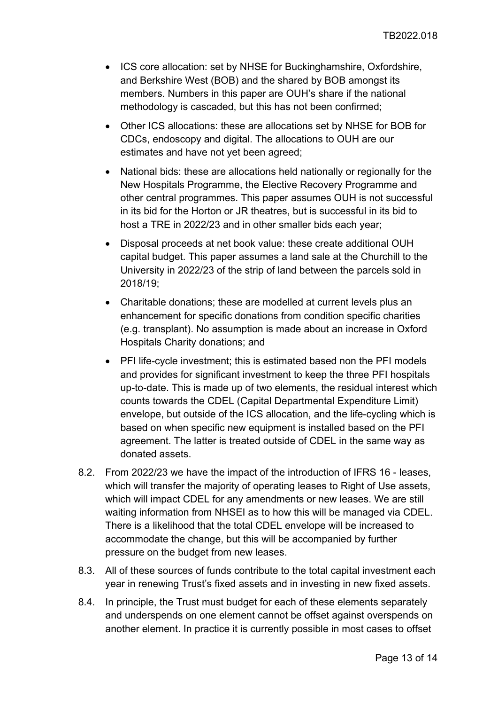- ICS core allocation: set by NHSE for Buckinghamshire, Oxfordshire, and Berkshire West (BOB) and the shared by BOB amongst its members. Numbers in this paper are OUH's share if the national methodology is cascaded, but this has not been confirmed;
- Other ICS allocations: these are allocations set by NHSE for BOB for CDCs, endoscopy and digital. The allocations to OUH are our estimates and have not yet been agreed;
- National bids: these are allocations held nationally or regionally for the New Hospitals Programme, the Elective Recovery Programme and other central programmes. This paper assumes OUH is not successful in its bid for the Horton or JR theatres, but is successful in its bid to host a TRE in 2022/23 and in other smaller bids each year;
- Disposal proceeds at net book value: these create additional OUH capital budget. This paper assumes a land sale at the Churchill to the University in 2022/23 of the strip of land between the parcels sold in 2018/19;
- Charitable donations; these are modelled at current levels plus an enhancement for specific donations from condition specific charities (e.g. transplant). No assumption is made about an increase in Oxford Hospitals Charity donations; and
- PFI life-cycle investment; this is estimated based non the PFI models and provides for significant investment to keep the three PFI hospitals up-to-date. This is made up of two elements, the residual interest which counts towards the CDEL (Capital Departmental Expenditure Limit) envelope, but outside of the ICS allocation, and the life-cycling which is based on when specific new equipment is installed based on the PFI agreement. The latter is treated outside of CDEL in the same way as donated assets.
- 8.2. From 2022/23 we have the impact of the introduction of IFRS 16 leases, which will transfer the majority of operating leases to Right of Use assets, which will impact CDEL for any amendments or new leases. We are still waiting information from NHSEI as to how this will be managed via CDEL. There is a likelihood that the total CDEL envelope will be increased to accommodate the change, but this will be accompanied by further pressure on the budget from new leases.
- 8.3. All of these sources of funds contribute to the total capital investment each year in renewing Trust's fixed assets and in investing in new fixed assets.
- 8.4. In principle, the Trust must budget for each of these elements separately and underspends on one element cannot be offset against overspends on another element. In practice it is currently possible in most cases to offset